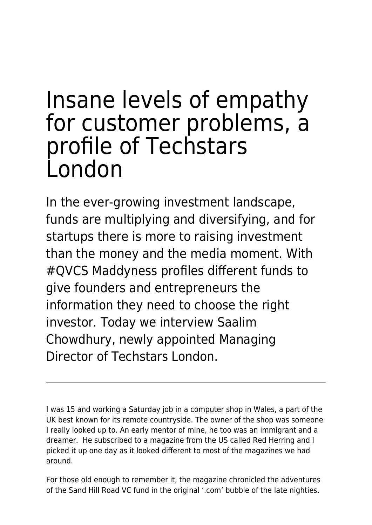# Insane levels of empathy for customer problems, a profile of Techstars London

In the ever-growing investment landscape, funds are multiplying and diversifying, and for startups there is more to raising investment than the money and the media moment. With #QVCS Maddyness profiles different funds to give founders and entrepreneurs the information they need to choose the right investor. Today we interview Saalim Chowdhury, newly appointed Managing Director of Techstars London.

I was 15 and working a Saturday job in a computer shop in Wales, a part of the UK best known for its remote countryside. The owner of the shop was someone I really looked up to. An early mentor of mine, he too was an immigrant and a dreamer. He subscribed to a magazine from the US called Red Herring and I picked it up one day as it looked different to most of the magazines we had around.

For those old enough to remember it, the magazine chronicled the adventures of the Sand Hill Road VC fund in the original '.com' bubble of the late nighties.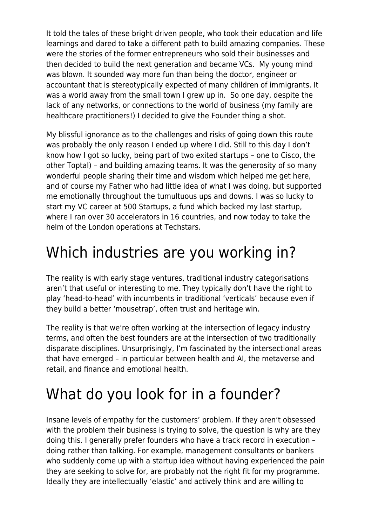It told the tales of these bright driven people, who took their education and life learnings and dared to take a different path to build amazing companies. These were the stories of the former entrepreneurs who sold their businesses and then decided to build the next generation and became VCs. My young mind was blown. It sounded way more fun than being the doctor, engineer or accountant that is stereotypically expected of many children of immigrants. It was a world away from the small town I grew up in. So one day, despite the lack of any networks, or connections to the world of business (my family are healthcare practitioners!) I decided to give the Founder thing a shot.

My blissful ignorance as to the challenges and risks of going down this route was probably the only reason I ended up where I did. Still to this day I don't know how I got so lucky, being part of two exited startups – one to Cisco, the other Toptal) – and building amazing teams. It was the generosity of so many wonderful people sharing their time and wisdom which helped me get here, and of course my Father who had little idea of what I was doing, but supported me emotionally throughout the tumultuous ups and downs. I was so lucky to start my VC career at 500 Startups, a fund which backed my last startup, where I ran over 30 accelerators in 16 countries, and now today to take the helm of the London operations at Techstars.

## Which industries are you working in?

The reality is with early stage ventures, traditional industry categorisations aren't that useful or interesting to me. They typically don't have the right to play 'head-to-head' with incumbents in traditional 'verticals' because even if they build a better 'mousetrap', often trust and heritage win.

The reality is that we're often working at the intersection of legacy industry terms, and often the best founders are at the intersection of two traditionally disparate disciplines. Unsurprisingly, I'm fascinated by the intersectional areas that have emerged – in particular between health and AI, the metaverse and retail, and finance and emotional health.

## What do you look for in a founder?

Insane levels of empathy for the customers' problem. If they aren't obsessed with the problem their business is trying to solve, the question is why are they doing this. I generally prefer founders who have a track record in execution – doing rather than talking. For example, management consultants or bankers who suddenly come up with a startup idea without having experienced the pain they are seeking to solve for, are probably not the right fit for my programme. Ideally they are intellectually 'elastic' and actively think and are willing to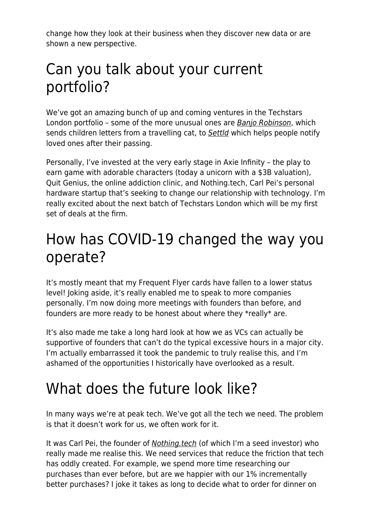change how they look at their business when they discover new data or are shown a new perspective.

#### Can you talk about your current portfolio?

We've got an amazing bunch of up and coming ventures in the Techstars London portfolio – some of the more unusual ones are [Banjo Robinson](https://www.banjorobinson.com/), which sends children letters from a travelling cat, to [Settld](https://www.settld.care/) which helps people notify loved ones after their passing.

Personally, I've invested at the very early stage in Axie Infinity – the play to earn game with adorable characters (today a unicorn with a \$3B valuation), Quit Genius, the online addiction clinic, and Nothing.tech, Carl Pei's personal hardware startup that's seeking to change our relationship with technology. I'm really excited about the next batch of Techstars London which will be my first set of deals at the firm.

#### How has COVID-19 changed the way you operate?

It's mostly meant that my Frequent Flyer cards have fallen to a lower status level! Joking aside, it's really enabled me to speak to more companies personally. I'm now doing more meetings with founders than before, and founders are more ready to be honest about where they \*really\* are.

It's also made me take a long hard look at how we as VCs can actually be supportive of founders that can't do the typical excessive hours in a major city. I'm actually embarrassed it took the pandemic to truly realise this, and I'm ashamed of the opportunities I historically have overlooked as a result.

### What does the future look like?

In many ways we're at peak tech. We've got all the tech we need. The problem is that it doesn't work for us, we often work for it.

It was Carl Pei, the founder of [Nothing.tech](https://nothing.tech/) (of which I'm a seed investor) who really made me realise this. We need services that reduce the friction that tech has oddly created. For example, we spend more time researching our purchases than ever before, but are we happier with our 1% incrementally better purchases? I joke it takes as long to decide what to order for dinner on